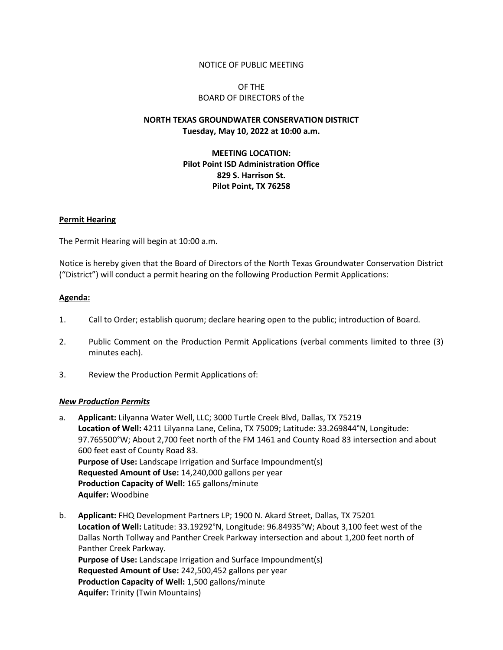### NOTICE OF PUBLIC MEETING

## OF THE BOARD OF DIRECTORS of the

# **NORTH TEXAS GROUNDWATER CONSERVATION DISTRICT Tuesday, May 10, 2022 at 10:00 a.m.**

# **MEETING LOCATION: Pilot Point ISD Administration Office 829 S. Harrison St. Pilot Point, TX 76258**

### **Permit Hearing**

The Permit Hearing will begin at 10:00 a.m.

Notice is hereby given that the Board of Directors of the North Texas Groundwater Conservation District ("District") will conduct a permit hearing on the following Production Permit Applications:

### **Agenda:**

- 1. Call to Order; establish quorum; declare hearing open to the public; introduction of Board.
- 2. Public Comment on the Production Permit Applications (verbal comments limited to three (3) minutes each).
- 3. Review the Production Permit Applications of:

#### *New Production Permits*

- a. **Applicant:** Lilyanna Water Well, LLC; 3000 Turtle Creek Blvd, Dallas, TX 75219 **Location of Well:** 4211 Lilyanna Lane, Celina, TX 75009; Latitude: 33.269844°N, Longitude: 97.765500°W; About 2,700 feet north of the FM 1461 and County Road 83 intersection and about 600 feet east of County Road 83. **Purpose of Use:** Landscape Irrigation and Surface Impoundment(s) **Requested Amount of Use:** 14,240,000 gallons per year **Production Capacity of Well:** 165 gallons/minute **Aquifer:** Woodbine
- b. **Applicant:** FHQ Development Partners LP; 1900 N. Akard Street, Dallas, TX 75201 **Location of Well:** Latitude: 33.19292°N, Longitude: 96.84935°W; About 3,100 feet west of the Dallas North Tollway and Panther Creek Parkway intersection and about 1,200 feet north of Panther Creek Parkway. **Purpose of Use:** Landscape Irrigation and Surface Impoundment(s) **Requested Amount of Use:** 242,500,452 gallons per year **Production Capacity of Well:** 1,500 gallons/minute **Aquifer:** Trinity (Twin Mountains)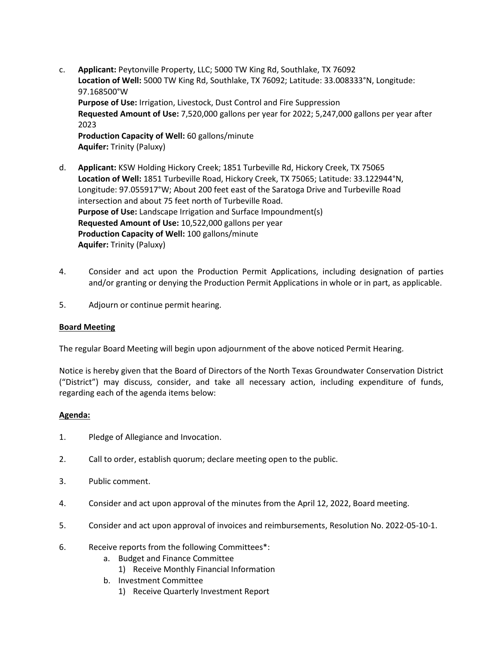- c. **Applicant:** Peytonville Property, LLC; 5000 TW King Rd, Southlake, TX 76092 **Location of Well:** 5000 TW King Rd, Southlake, TX 76092; Latitude: 33.008333°N, Longitude: 97.168500°W **Purpose of Use:** Irrigation, Livestock, Dust Control and Fire Suppression **Requested Amount of Use:** 7,520,000 gallons per year for 2022; 5,247,000 gallons per year after 2023 **Production Capacity of Well:** 60 gallons/minute **Aquifer:** Trinity (Paluxy)
- d. **Applicant:** KSW Holding Hickory Creek; 1851 Turbeville Rd, Hickory Creek, TX 75065 **Location of Well:** 1851 Turbeville Road, Hickory Creek, TX 75065; Latitude: 33.122944°N, Longitude: 97.055917°W; About 200 feet east of the Saratoga Drive and Turbeville Road intersection and about 75 feet north of Turbeville Road. **Purpose of Use:** Landscape Irrigation and Surface Impoundment(s) **Requested Amount of Use:** 10,522,000 gallons per year **Production Capacity of Well:** 100 gallons/minute **Aquifer:** Trinity (Paluxy)
- 4. Consider and act upon the Production Permit Applications, including designation of parties and/or granting or denying the Production Permit Applications in whole or in part, as applicable.
- 5. Adjourn or continue permit hearing.

## **Board Meeting**

The regular Board Meeting will begin upon adjournment of the above noticed Permit Hearing.

Notice is hereby given that the Board of Directors of the North Texas Groundwater Conservation District ("District") may discuss, consider, and take all necessary action, including expenditure of funds, regarding each of the agenda items below:

## **Agenda:**

- 1. Pledge of Allegiance and Invocation.
- 2. Call to order, establish quorum; declare meeting open to the public.
- 3. Public comment.
- 4. Consider and act upon approval of the minutes from the April 12, 2022, Board meeting.
- 5. Consider and act upon approval of invoices and reimbursements, Resolution No. 2022-05-10-1.
- 6. Receive reports from the following Committees\*:
	- a. Budget and Finance Committee
		- 1) Receive Monthly Financial Information
	- b. Investment Committee
		- 1) Receive Quarterly Investment Report